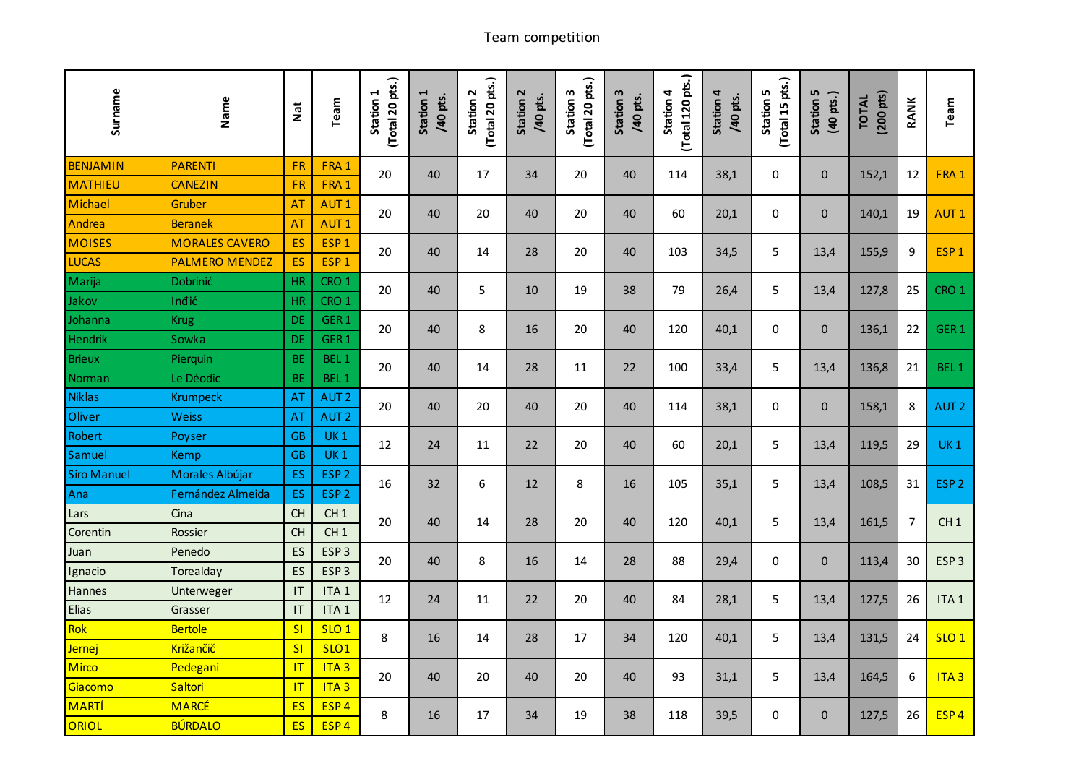## Team competition

| Surname            | Name                  | Nat                    | Team             | (Total 20 pts.)<br>Station 1 | Station 1<br>/40 pts. | (Total 20 pts.)<br>Station 2 | Station 2<br>/40 pts. | (Total 20 pts.)<br>Station 3 | Station 3<br>/40 pts. | (Total 120 pts.)<br>Station 4 | Station 4<br>/40 pts. | (Total 15 pts.)<br>Station 5 | Station 5<br>(40 pts.) | $(200 \text{ pts})$<br><b>TOTAL</b> | RANK           | Team             |
|--------------------|-----------------------|------------------------|------------------|------------------------------|-----------------------|------------------------------|-----------------------|------------------------------|-----------------------|-------------------------------|-----------------------|------------------------------|------------------------|-------------------------------------|----------------|------------------|
| <b>BENJAMIN</b>    | <b>PARENTI</b>        | FR                     | FRA 1            | 20                           | 40                    | 17                           | 34                    |                              | 40                    | 114                           | 38,1                  | $\mathbf 0$                  | $\mathbf{0}$           | 152,1                               |                | FRA 1            |
| <b>MATHIEU</b>     | <b>CANEZIN</b>        | FR                     | FRA 1            |                              |                       |                              |                       | 20                           |                       |                               |                       |                              |                        |                                     | 12             |                  |
| Michael            | Gruber                | <b>AT</b>              | <b>AUT1</b>      | 20                           | 40                    | 20                           | 40                    | 20                           | 40                    | 60                            | 20,1                  | $\pmb{0}$                    | $\mathbf 0$            | 140,1                               | 19             | AUT <sub>1</sub> |
| Andrea             | <b>Beranek</b>        | AT                     | AUT <sub>1</sub> |                              |                       |                              |                       |                              |                       |                               |                       |                              |                        |                                     |                |                  |
| <b>MOISES</b>      | <b>MORALES CAVERO</b> | ES                     | ESP <sub>1</sub> | 20                           | 40                    | 14                           | 28                    | 20                           | 40                    | 103                           | 34,5                  | 5                            | 13,4                   | 155,9                               | 9              | ESP <sub>1</sub> |
| <b>LUCAS</b>       | <b>PALMERO MENDEZ</b> | ES                     | ESP <sub>1</sub> |                              |                       |                              |                       |                              |                       |                               |                       |                              |                        |                                     |                |                  |
| Marija             | Dobrinić              | <b>HR</b>              | CRO <sub>1</sub> | 20                           | 40                    | $\overline{5}$               | 10                    | 19                           | 38                    | 79                            | 26,4                  | 5                            | 13,4                   | 127,8                               | 25             | CRO <sub>1</sub> |
| Jakov              | Inđić                 | <b>HR</b>              | CRO <sub>1</sub> |                              |                       |                              |                       |                              |                       |                               |                       |                              |                        |                                     |                |                  |
| Johanna            | <b>Krug</b>           | <b>DE</b>              | GER <sub>1</sub> | 20                           | 40                    | 8                            | 16                    | 20                           | 40                    | 120                           | 40,1                  | 0                            | $\mathbf 0$            | 136,1                               | 22             | GER <sub>1</sub> |
| Hendrik            | Sowka                 | <b>DE</b>              | GER <sub>1</sub> |                              |                       |                              |                       |                              |                       |                               |                       |                              |                        |                                     |                |                  |
| <b>Brieux</b>      | Pierquin              | <b>BE</b>              | BEL <sub>1</sub> | 20                           | 40                    | 14                           | 28                    | 11                           | 22                    | 100                           | 33,4                  | 5                            | 13,4                   | 136,8                               | 21             | BEL <sub>1</sub> |
| Norman             | Le Déodic             | <b>BE</b>              | BEL <sub>1</sub> |                              |                       |                              |                       |                              |                       |                               |                       |                              |                        |                                     |                |                  |
| <b>Niklas</b>      | Krumpeck              | AT                     | AUT <sub>2</sub> | 20                           | 40                    | 20                           | 40                    | 20                           | 40                    | 114                           | 38,1                  | 0                            | $\mathbf 0$            | 158,1                               | 8              | AUT <sub>2</sub> |
| Oliver             | <b>Weiss</b>          | AT                     | AUT <sub>2</sub> |                              |                       |                              |                       |                              |                       |                               |                       |                              |                        |                                     |                |                  |
| Robert             | Poyser                | <b>GB</b>              | <b>UK1</b>       | 12                           | 24                    | 11                           | 22                    | 20                           | 40                    | 60                            | 20,1                  | 5                            | 13,4                   | 119,5                               | 29             | <b>UK1</b>       |
| Samuel             | Kemp                  | <b>GB</b>              | <b>UK1</b>       |                              |                       |                              |                       |                              |                       |                               |                       |                              |                        |                                     |                |                  |
| <b>Siro Manuel</b> | Morales Albújar       | ES                     | ESP <sub>2</sub> | 16                           | 32                    | 6                            | 12                    | $\,8\,$                      | 16                    | 105                           | 35,1                  | 5                            | 13,4                   | 108,5                               | 31             | ESP <sub>2</sub> |
| Ana                | Fernández Almeida     | ES                     | ESP <sub>2</sub> |                              |                       |                              |                       |                              |                       |                               |                       |                              |                        |                                     |                |                  |
| Lars               | Cina                  | <b>CH</b>              | CH <sub>1</sub>  | 20                           | 40                    | 14                           | 28                    | 20                           | 40                    | 120                           | 40,1                  | 5                            | 13,4                   | 161,5                               | $\overline{7}$ | CH1              |
| Corentin           | Rossier               | CH                     | CH1              |                              |                       |                              |                       |                              |                       |                               |                       |                              |                        |                                     |                |                  |
| Juan               | Penedo                | ES                     | ESP <sub>3</sub> | 20                           | 40                    | $\,8\,$                      | 16                    | 14                           | 28                    | 88                            | 29,4                  | $\Omega$                     | $\mathbf 0$            | 113,4                               | 30             | ESP <sub>3</sub> |
| Ignacio            | Torealday             | ES                     | ESP <sub>3</sub> |                              |                       |                              |                       |                              |                       |                               |                       |                              |                        |                                     |                |                  |
| Hannes             | Unterweger            | $\mathsf{I}\mathsf{T}$ | ITA <sub>1</sub> | 12                           | 24                    | 11                           | 22                    | 20                           | 40                    | 84                            | 28,1                  | 5                            | 13,4                   | 127,5                               | 26             | ITA <sub>1</sub> |
| Elias              | Grasser               | $\mathsf{I}\mathsf{T}$ | ITA <sub>1</sub> |                              |                       |                              |                       |                              |                       |                               |                       |                              |                        |                                     |                |                  |
| Rok                | <b>Bertole</b>        | SI                     | SLO <sub>1</sub> | 8                            | 16                    | 14                           | 28                    | 17                           | 34                    | 120                           | 40,1                  | 5                            | 13,4                   | 131,5                               | 24             | <b>SLO 1</b>     |
| Jernej             | Križančič             | SI                     | <b>SLO1</b>      |                              |                       |                              |                       |                              |                       |                               |                       |                              |                        |                                     |                |                  |
| <b>Mirco</b>       | Pedegani              | $\overline{1}$         | ITA3             | 20                           | 40                    | 20                           | 40                    | 20                           | 40                    | 93                            | 31,1                  | 5                            | 13,4                   | 164,5                               | 6              | <b>ITA3</b>      |
| Giacomo            | Saltori               | T                      | ITA3             |                              |                       |                              |                       |                              |                       |                               |                       |                              |                        |                                     |                |                  |
| <b>MARTÍ</b>       | MARCÉ                 | ES                     | ESP <sub>4</sub> | 8                            | 16                    | 17                           | 34                    | 19                           | 38                    | 118                           | 39,5                  | 0                            | $\mathbf 0$            | 127,5                               | 26             | ESP <sub>4</sub> |
| ORIOL              | <b>BÚRDALO</b>        | ES                     | ESP <sub>4</sub> |                              |                       |                              |                       |                              |                       |                               |                       |                              |                        |                                     |                |                  |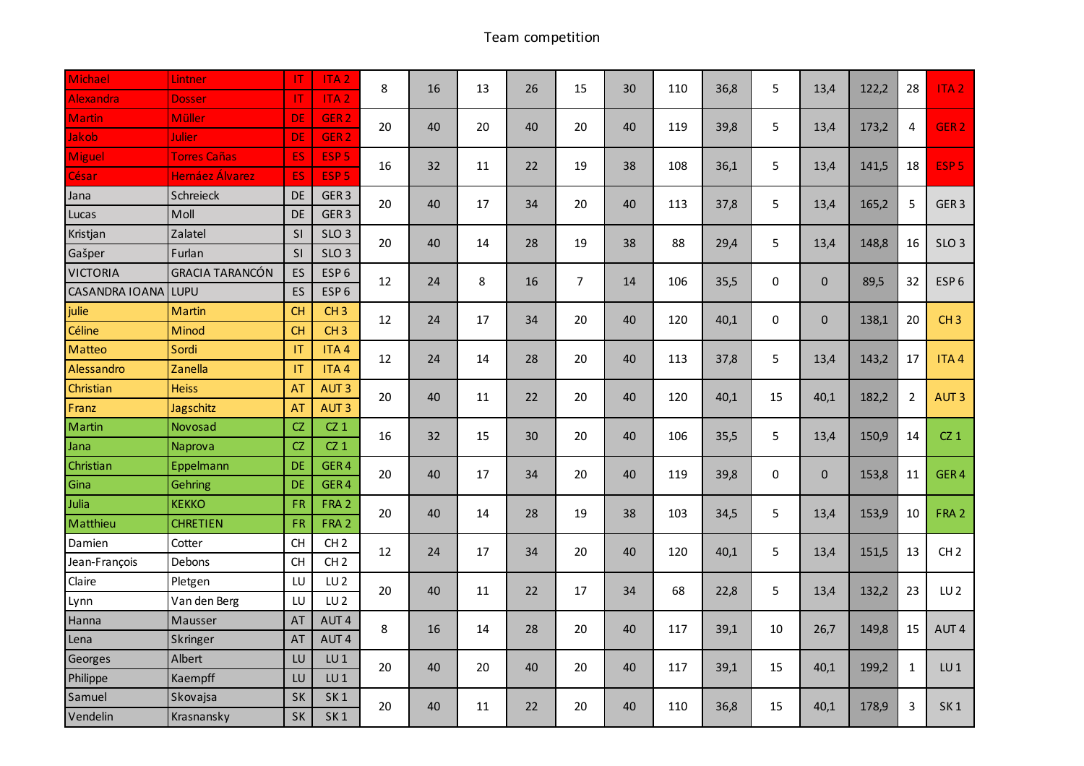## Team competition

| Michael               | Lintner                | -IT       | ITA <sub>2</sub> | 8  | 16 | 13 | 26 | 15             | 30 | 110 | 36,8 | 5            | 13,4         | 122,2 | 28             | ITA <sub>2</sub> |
|-----------------------|------------------------|-----------|------------------|----|----|----|----|----------------|----|-----|------|--------------|--------------|-------|----------------|------------------|
| Alexandra             | <b>Dosser</b>          | -IT       | ITA <sub>2</sub> |    |    |    |    |                |    |     |      |              |              |       |                |                  |
| <b>Martin</b>         | <b>Müller</b>          | <b>DE</b> | GER <sub>2</sub> | 20 | 40 | 20 | 40 | 20             | 40 | 119 | 39,8 | 5            | 13,4         | 173,2 | 4              | GER <sub>2</sub> |
| Jakob                 | Julier                 | <b>DE</b> | GER <sub>2</sub> |    |    |    |    |                |    |     |      |              |              |       |                |                  |
| Miguel                | <b>Torres Cañas</b>    | ES        | ESP <sub>5</sub> | 16 | 32 | 11 | 22 | 19             | 38 | 108 | 36,1 | 5            | 13,4         | 141,5 | 18             | ESP <sub>5</sub> |
| César                 | Hernáez Álvarez        | ES        | ESP <sub>5</sub> |    |    |    |    |                |    |     |      |              |              |       |                |                  |
| Jana                  | Schreieck              | DE        | GER <sub>3</sub> | 20 | 40 | 17 | 34 | 20             | 40 | 113 | 37,8 | 5            | 13,4         | 165,2 | 5              | GER <sub>3</sub> |
| Lucas                 | Moll                   | DE        | GER <sub>3</sub> |    |    |    |    |                |    |     |      |              |              |       |                |                  |
| Kristjan              | Zalatel                | <b>SI</b> | SLO <sub>3</sub> | 20 | 40 | 14 | 28 | 19             | 38 | 88  | 29,4 | 5            | 13,4         | 148,8 | 16             | SLO <sub>3</sub> |
| Gašper                | Furlan                 | <b>SI</b> | SLO <sub>3</sub> |    |    |    |    |                |    |     |      |              |              |       |                |                  |
| <b>VICTORIA</b>       | <b>GRACIA TARANCÓN</b> | ES        | ESP <sub>6</sub> | 12 | 24 | 8  | 16 | $\overline{7}$ | 14 | 106 | 35,5 | $\mathbf 0$  | $\mathbf 0$  | 89,5  | 32             | ESP <sub>6</sub> |
| <b>CASANDRA IOANA</b> | <b>LUPU</b>            | ES        | ESP <sub>6</sub> |    |    |    |    |                |    |     |      |              |              |       |                |                  |
| julie                 | Martin                 | <b>CH</b> | CH3              | 12 | 24 | 17 | 34 | 20             | 40 | 120 | 40,1 | $\mathbf 0$  | $\mathbf{0}$ | 138,1 | 20             | CH <sub>3</sub>  |
| Céline                | Minod                  | <b>CH</b> | CH3              |    |    |    |    |                |    |     |      |              |              |       |                |                  |
| Matteo                | Sordi                  | IT        | ITA4             | 12 | 24 | 14 | 28 | 20             | 40 | 113 | 37,8 | 5            | 13,4         | 143,2 | 17             | ITA4             |
| Alessandro            | Zanella                | IT        | ITA4             |    |    |    |    |                |    |     |      |              |              |       |                |                  |
| Christian             | <b>Heiss</b>           | AT        | AUT <sub>3</sub> | 20 | 40 | 11 | 22 | 20             | 40 | 120 | 40,1 | 15           | 40,1         | 182,2 | $\overline{2}$ | AUT <sub>3</sub> |
| Franz                 | Jagschitz              | <b>AT</b> | AUT <sub>3</sub> |    |    |    |    |                |    |     |      |              |              |       |                |                  |
| Martin                | Novosad                | CZ        | $CZ_1$           | 16 | 32 | 15 | 30 | 20             | 40 | 106 | 35,5 | 5            | 13,4         | 150,9 | 14             | $CZ_1$           |
| Jana                  | Naprova                | CZ        | $CZ_1$           |    |    |    |    |                |    |     |      |              |              |       |                |                  |
| Christian             | Eppelmann              | <b>DE</b> | GER <sub>4</sub> | 20 | 40 | 17 | 34 | 20             | 40 | 119 | 39,8 | $\mathbf{0}$ | $\mathbf{0}$ | 153,8 | 11             | GER <sub>4</sub> |
| Gina                  | Gehring                | <b>DE</b> | GER <sub>4</sub> |    |    |    |    |                |    |     |      |              |              |       |                |                  |
| Julia                 | <b>KEKKO</b>           | <b>FR</b> | FRA <sub>2</sub> | 20 | 40 | 14 | 28 | 19             | 38 | 103 | 34,5 | 5            | 13,4         | 153,9 | 10             | FRA 2            |
| Matthieu              | <b>CHRETIEN</b>        | <b>FR</b> | FRA 2            |    |    |    |    |                |    |     |      |              |              |       |                |                  |
| Damien                | Cotter                 | <b>CH</b> | CH <sub>2</sub>  | 12 | 24 | 17 | 34 | 20             | 40 | 120 | 40,1 | 5            | 13,4         | 151,5 | 13             | CH <sub>2</sub>  |
| Jean-François         | Debons                 | <b>CH</b> | CH <sub>2</sub>  |    |    |    |    |                |    |     |      |              |              |       |                |                  |
| Claire                | Pletgen                | LU        | LU <sub>2</sub>  | 20 | 40 | 11 | 22 | 17             | 34 | 68  | 22,8 | 5            | 13,4         | 132,2 | 23             | LU <sub>2</sub>  |
| Lynn                  | Van den Berg           | LU        | LU <sub>2</sub>  |    |    |    |    |                |    |     |      |              |              |       |                |                  |
| Hanna                 | Mausser                | AT        | AUT <sub>4</sub> | 8  | 16 | 14 | 28 | 20             | 40 | 117 | 39,1 | 10           | 26,7         | 149,8 | 15             | AUT <sub>4</sub> |
| Lena                  | Skringer               | AT        | AUT <sub>4</sub> |    |    |    |    |                |    |     |      |              |              |       |                |                  |
| Georges               | Albert                 | LU        | $LU$ 1           | 20 | 40 | 20 | 40 | 20             | 40 | 117 | 39,1 | 15           | 40,1         | 199,2 | $\mathbf{1}$   | LU1              |
| Philippe              | Kaempff                | LU        | LU <sub>1</sub>  |    |    |    |    |                |    |     |      |              |              |       |                |                  |
| Samuel                | Skovajsa               | <b>SK</b> | SK <sub>1</sub>  | 20 | 40 | 11 | 22 | 20             | 40 | 110 | 36,8 | 15           | 40,1         | 178,9 | 3              | SK <sub>1</sub>  |
| Vendelin              | Krasnansky             | <b>SK</b> | SK <sub>1</sub>  |    |    |    |    |                |    |     |      |              |              |       |                |                  |